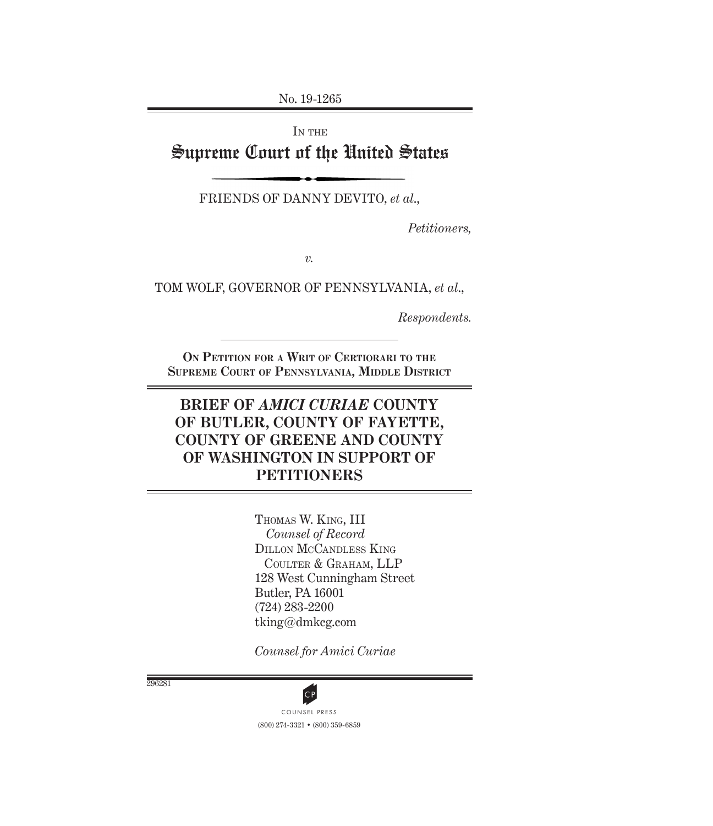No. 19-1265

IN THE Supreme Court of the United States

FRIENDS OF DANNY DEVITO, *et al*.,

*Petitioners,*

*v.*

TOM WOLF, GOVERNOR OF PENNSYLVANIA, *et al*.,

*Respondents.*

**On Petition for a Writ of Certiorari to the Supreme Court of Pennsylvania, Middle District**

# **BRIEF OF** *AMICI CURIAE* **COUNTY OF BUTLER, COUNTY OF FAYETTE, COUNTY OF GREENE AND COUNTY OF WASHINGTON IN SUPPORT OF PETITIONERS**

Thomas W. King, III *Counsel of Record* Dillon McCandless King Coulter & Graham, LLP 128 West Cunningham Street Butler, PA 16001 (724) 283-2200 tking@dmkcg.com

*Counsel for Amici Curiae*

296281

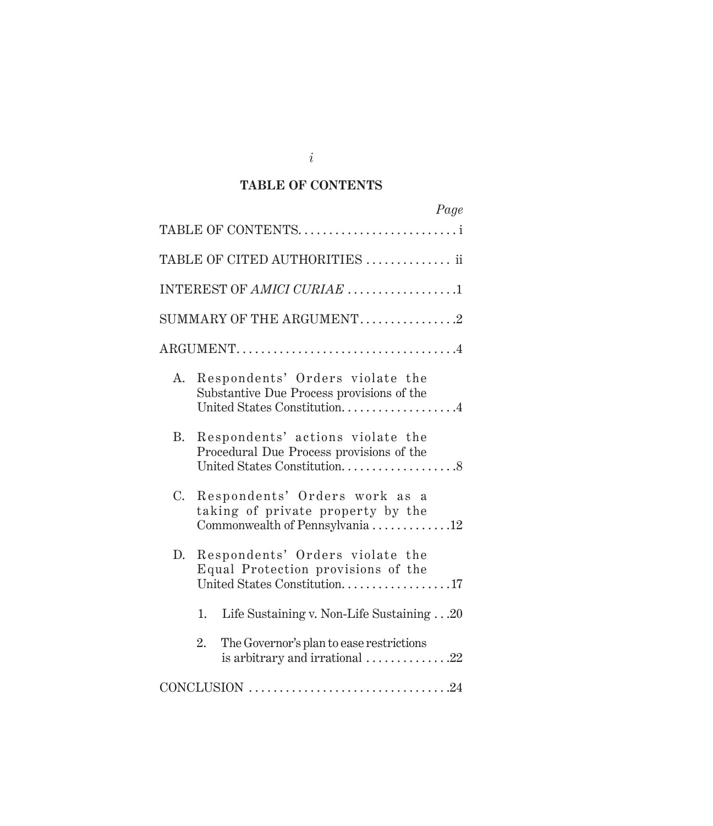## **TABLE OF CONTENTS**

|             | Page                                                                                                           |
|-------------|----------------------------------------------------------------------------------------------------------------|
|             | TABLE OF CONTENTS                                                                                              |
|             | TABLE OF CITED AUTHORITIES  ii                                                                                 |
|             | INTEREST OF AMICI CURIAE 1                                                                                     |
|             | SUMMARY OF THE ARGUMENT2                                                                                       |
|             | ARGUMENT4                                                                                                      |
|             | A. Respondents' Orders violate the<br>Substantive Due Process provisions of the<br>United States Constitution4 |
| <b>B.</b>   | Respondents' actions violate the<br>Procedural Due Process provisions of the<br>United States Constitution8    |
| $C_{\cdot}$ | Respondents' Orders work as a<br>taking of private property by the<br>Commonwealth of Pennsylvania12           |
| D.          | Respondents' Orders violate the<br>Equal Protection provisions of the<br>United States Constitution17          |
|             | Life Sustaining v. Non-Life Sustaining 20<br>1.                                                                |
|             | The Governor's plan to ease restrictions<br>2.<br>is arbitrary and irrational $\ldots \ldots \ldots \ldots 22$ |
|             |                                                                                                                |

*i*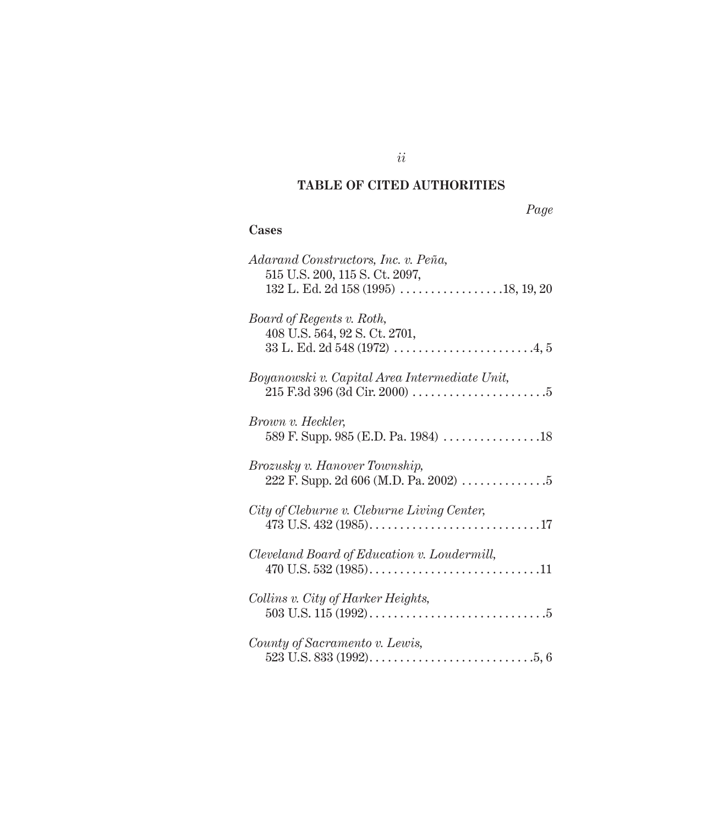## **TABLE OF CITED AUTHORITIES**

| $\alpha$ |
|----------|
|----------|

## **Cases**

| Adarand Constructors, Inc. v. Peña,<br>515 U.S. 200, 115 S. Ct. 2097,                            |
|--------------------------------------------------------------------------------------------------|
| Board of Regents v. Roth,<br>408 U.S. 564, 92 S. Ct. 2701,                                       |
| Boyanowski v. Capital Area Intermediate Unit,                                                    |
| Brown v. Heckler,                                                                                |
| Brozusky v. Hanover Township,<br>222 F. Supp. 2d 606 (M.D. Pa. 2002) $\dots \dots \dots \dots 5$ |
| City of Cleburne v. Cleburne Living Center,                                                      |
| Cleveland Board of Education v. Loudermill,                                                      |
| Collins v. City of Harker Heights,                                                               |
| County of Sacramento v. Lewis,                                                                   |

*ii*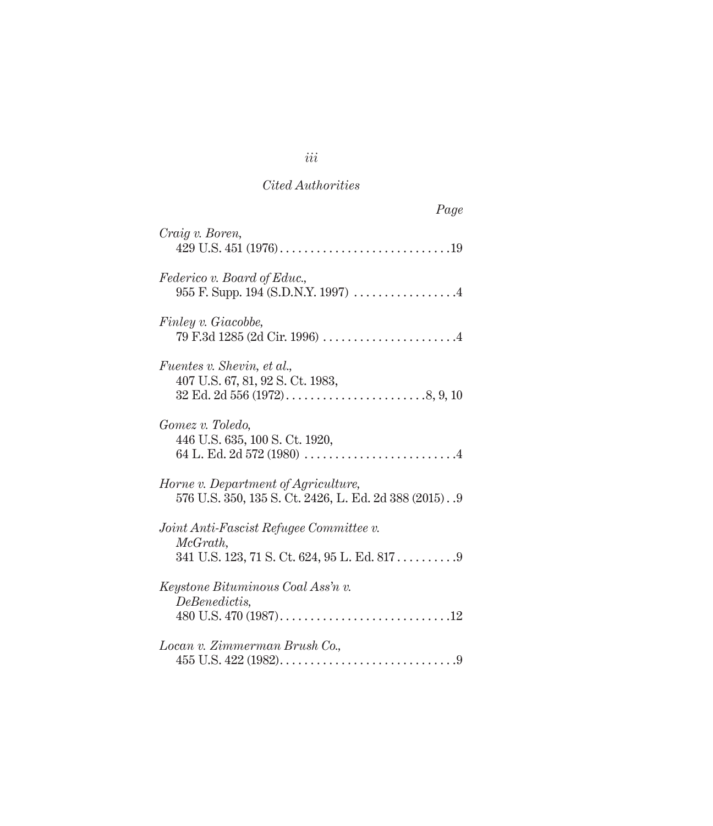| Page                                                                                           |
|------------------------------------------------------------------------------------------------|
| Craig v. Boren,                                                                                |
| Federico v. Board of Educ.,<br>955 F. Supp. 194 (S.D.N.Y. 1997) 4                              |
| Finley v. Giacobbe,                                                                            |
| <i>Fuentes v. Shevin, et al.,</i><br>407 U.S. 67, 81, 92 S. Ct. 1983,                          |
| Gomez v. Toledo,<br>446 U.S. 635, 100 S. Ct. 1920,                                             |
| Horne v. Department of Agriculture,<br>576 U.S. 350, 135 S. Ct. 2426, L. Ed. 2d 388 (2015). .9 |
| Joint Anti-Fascist Refugee Committee v.<br>McGrath,                                            |
| Keystone Bituminous Coal Ass'n v.<br>DeBenedictis,                                             |
| Locan v. Zimmerman Brush Co.,                                                                  |

*iii*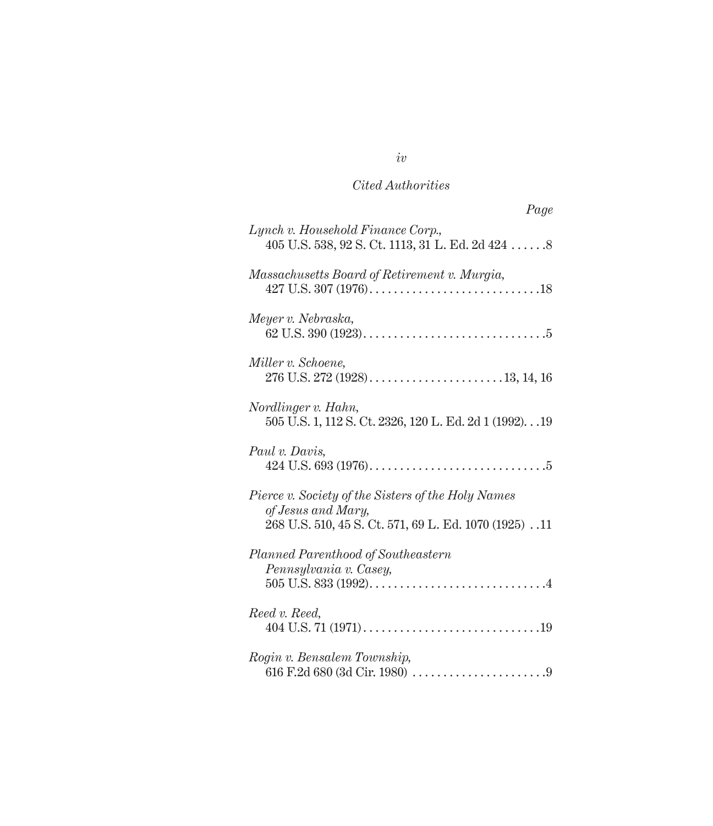| Page                                                                                                                             |
|----------------------------------------------------------------------------------------------------------------------------------|
| Lynch v. Household Finance Corp.,<br>405 U.S. 538, 92 S. Ct. 1113, 31 L. Ed. 2d 424  8                                           |
| Massachusetts Board of Retirement v. Murgia,                                                                                     |
| Meyer v. Nebraska,                                                                                                               |
| Miller v. Schoene,                                                                                                               |
| Nordlinger v. Hahn,<br>505 U.S. 1, 112 S. Ct. 2326, 120 L. Ed. 2d 1 (1992). 19                                                   |
| Paul v. Davis,                                                                                                                   |
| Pierce v. Society of the Sisters of the Holy Names<br>of Jesus and Mary,<br>268 U.S. 510, 45 S. Ct. 571, 69 L. Ed. 1070 (1925)11 |
| Planned Parenthood of Southeastern<br>Pennsylvania v. Casey,                                                                     |
| Reed v. Reed,                                                                                                                    |
| Rogin v. Bensalem Township,                                                                                                      |

*iv*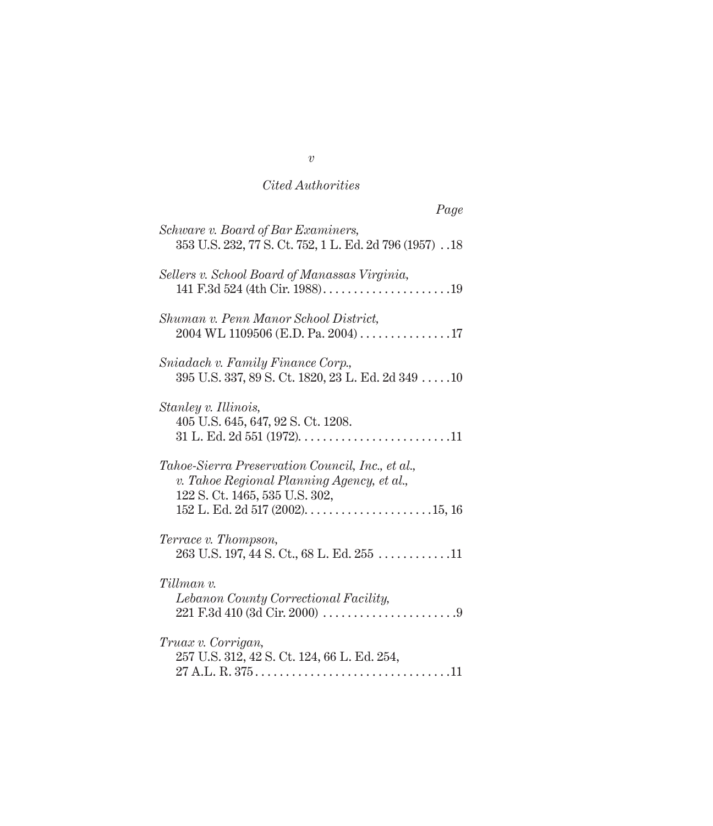|                                                                                                                                  | Page |
|----------------------------------------------------------------------------------------------------------------------------------|------|
| Schware v. Board of Bar Examiners,<br>353 U.S. 232, 77 S. Ct. 752, 1 L. Ed. 2d 796 (1957)18                                      |      |
| Sellers v. School Board of Manassas Virginia,<br>141 F.3d 524 (4th Cir. 1988)19                                                  |      |
| Shuman v. Penn Manor School District,<br>$2004$ WL 1109506 (E.D. Pa. 2004)17                                                     |      |
| Sniadach v. Family Finance Corp.,<br>$395$ U.S. $337$ , $89$ S. Ct. $1820$ , $23$ L. Ed. $2d$ $349$ 10                           |      |
| Stanley v. Illinois,<br>405 U.S. 645, 647, 92 S. Ct. 1208.                                                                       |      |
| Tahoe-Sierra Preservation Council, Inc., et al.,<br>v. Tahoe Regional Planning Agency, et al.,<br>122 S. Ct. 1465, 535 U.S. 302, |      |
| Terrace v. Thompson,<br>$263$ U.S. 197, 44 S. Ct., 68 L. Ed. $255$ 11                                                            |      |
| Tillman v.<br>Lebanon County Correctional Facility,                                                                              |      |
| Truax v. Corrigan,<br>257 U.S. 312, 42 S. Ct. 124, 66 L. Ed. 254,<br>$27 A.L. R. 375. 11$                                        |      |

*v*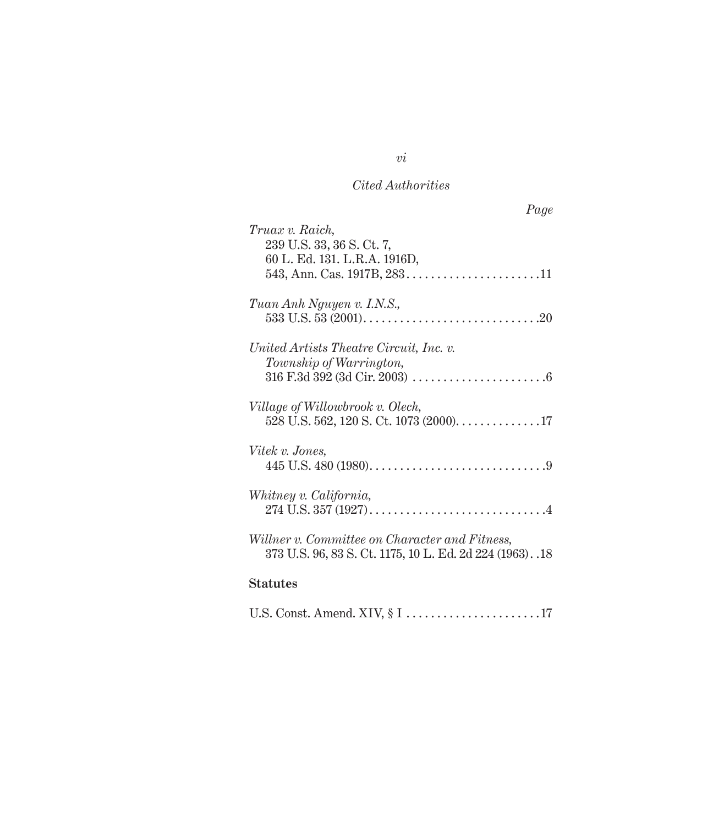| Page                                                      |
|-----------------------------------------------------------|
| Truax v. Raich,<br>239 U.S. 33, 36 S. Ct. 7,              |
| 60 L. Ed. 131. L.R.A. 1916D,                              |
|                                                           |
| Tuan Anh Nguyen v. I.N.S.,                                |
|                                                           |
| United Artists Theatre Circuit, Inc. v.                   |
| Township of Warrington,                                   |
|                                                           |
| Village of Willowbrook v. Olech,                          |
| 528 U.S. 562, 120 S. Ct. 1073 (2000). 17                  |
| Vitek v. Jones,                                           |
|                                                           |
| Whitney v. California,                                    |
|                                                           |
| Willner v. Committee on Character and Fitness,            |
| 373 U.S. 96, 83 S. Ct. 1175, 10 L. Ed. 2d 224 (1963). .18 |
| <b>Statutes</b>                                           |

|--|

*vi*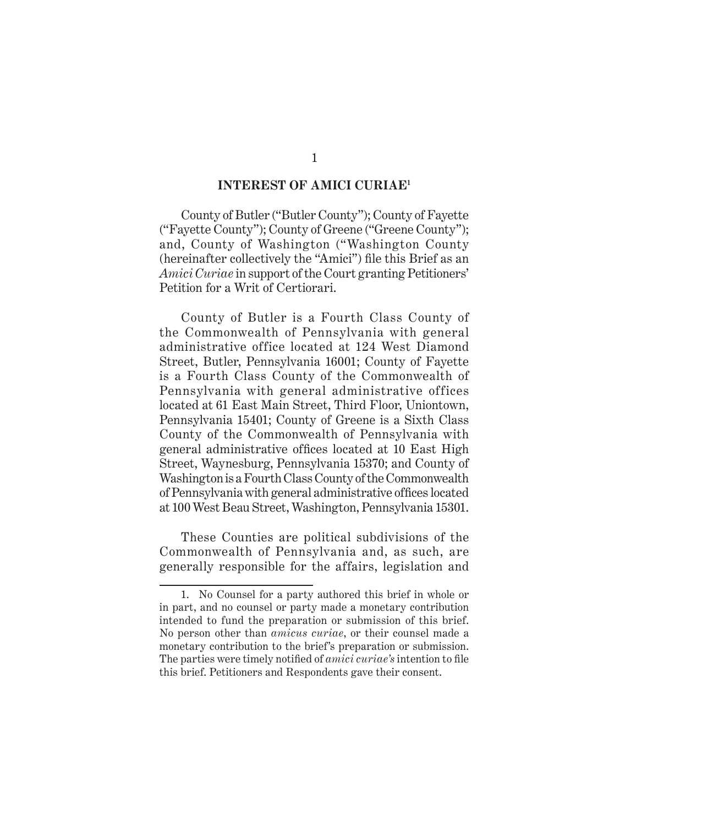#### **INTEREST OF AMICI CURIAE1**

County of Butler ("Butler County"); County of Fayette ("Fayette County"); County of Greene ("Greene County"); and, County of Washington ("Washington County (hereinafter collectively the "Amici") file this Brief as an *Amici Curiae* in support of the Court granting Petitioners' Petition for a Writ of Certiorari.

County of Butler is a Fourth Class County of the Commonwealth of Pennsylvania with general administrative office located at 124 West Diamond Street, Butler, Pennsylvania 16001; County of Fayette is a Fourth Class County of the Commonwealth of Pennsylvania with general administrative offices located at 61 East Main Street, Third Floor, Uniontown, Pennsylvania 15401; County of Greene is a Sixth Class County of the Commonwealth of Pennsylvania with general administrative offices located at 10 East High Street, Waynesburg, Pennsylvania 15370; and County of Washington is a Fourth Class County of the Commonwealth of Pennsylvania with general administrative offices located at 100 West Beau Street, Washington, Pennsylvania 15301.

These Counties are political subdivisions of the Commonwealth of Pennsylvania and, as such, are generally responsible for the affairs, legislation and

<sup>1.</sup> No Counsel for a party authored this brief in whole or in part, and no counsel or party made a monetary contribution intended to fund the preparation or submission of this brief. No person other than *amicus curiae*, or their counsel made a monetary contribution to the brief's preparation or submission. The parties were timely notified of *amici curiae's* intention to file this brief. Petitioners and Respondents gave their consent.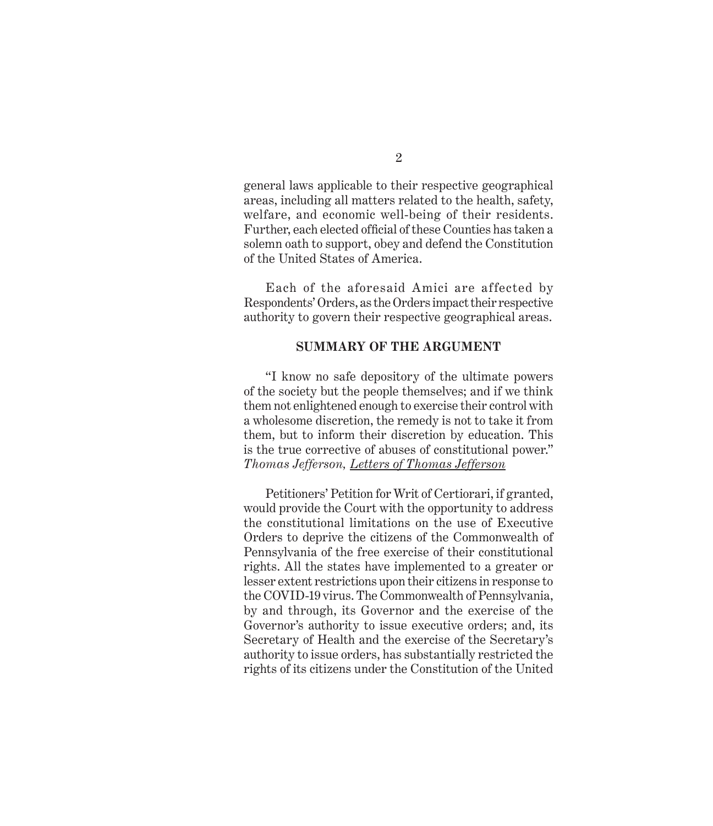general laws applicable to their respective geographical areas, including all matters related to the health, safety, welfare, and economic well-being of their residents. Further, each elected official of these Counties has taken a solemn oath to support, obey and defend the Constitution of the United States of America.

Each of the aforesaid Amici are affected by Respondents' Orders, as the Orders impact their respective authority to govern their respective geographical areas.

#### **SUMMARY OF THE ARGUMENT**

"I know no safe depository of the ultimate powers of the society but the people themselves; and if we think them not enlightened enough to exercise their control with a wholesome discretion, the remedy is not to take it from them, but to inform their discretion by education. This is the true corrective of abuses of constitutional power." *Thomas Jefferson, Letters of Thomas Jefferson*

Petitioners' Petition for Writ of Certiorari, if granted, would provide the Court with the opportunity to address the constitutional limitations on the use of Executive Orders to deprive the citizens of the Commonwealth of Pennsylvania of the free exercise of their constitutional rights. All the states have implemented to a greater or lesser extent restrictions upon their citizens in response to the COVID-19 virus. The Commonwealth of Pennsylvania, by and through, its Governor and the exercise of the Governor's authority to issue executive orders; and, its Secretary of Health and the exercise of the Secretary's authority to issue orders, has substantially restricted the rights of its citizens under the Constitution of the United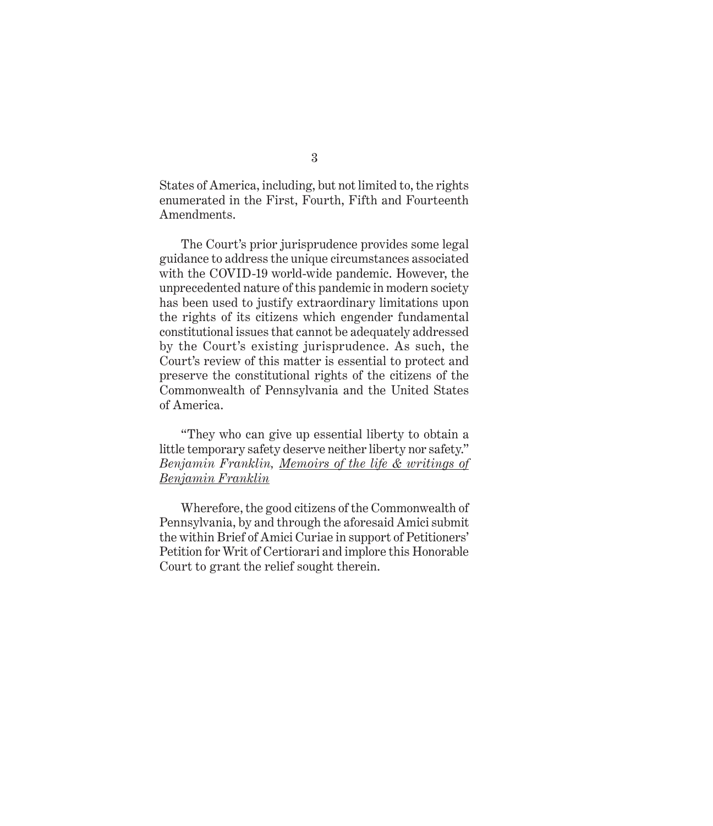States of America, including, but not limited to, the rights enumerated in the First, Fourth, Fifth and Fourteenth Amendments.

The Court's prior jurisprudence provides some legal guidance to address the unique circumstances associated with the COVID-19 world-wide pandemic. However, the unprecedented nature of this pandemic in modern society has been used to justify extraordinary limitations upon the rights of its citizens which engender fundamental constitutional issues that cannot be adequately addressed by the Court's existing jurisprudence. As such, the Court's review of this matter is essential to protect and preserve the constitutional rights of the citizens of the Commonwealth of Pennsylvania and the United States of America.

"They who can give up essential liberty to obtain a little temporary safety deserve neither liberty nor safety." *Benjamin Franklin, Memoirs of the life & writings of Benjamin Franklin*

Wherefore, the good citizens of the Commonwealth of Pennsylvania, by and through the aforesaid Amici submit the within Brief of Amici Curiae in support of Petitioners' Petition for Writ of Certiorari and implore this Honorable Court to grant the relief sought therein.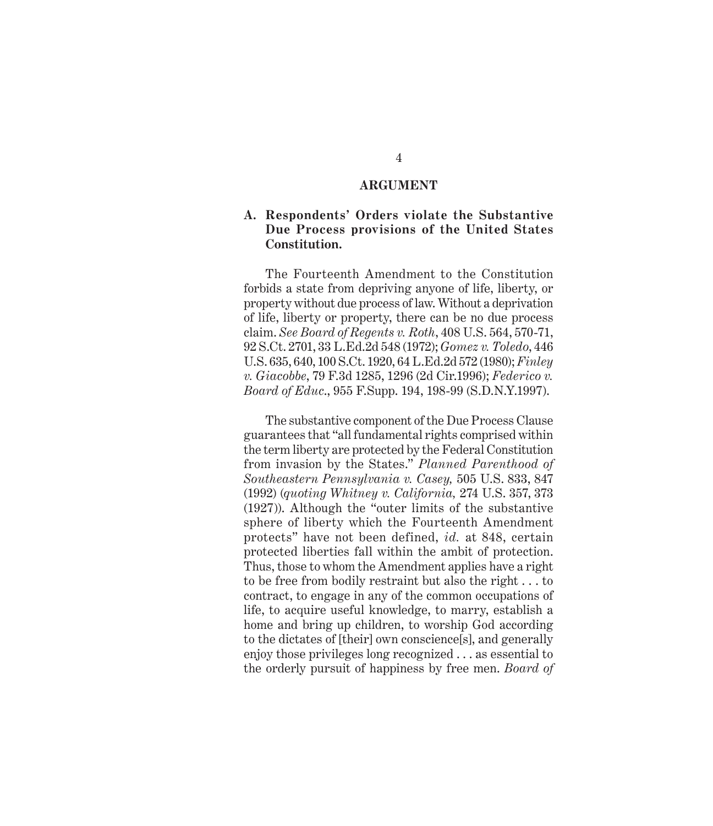#### **ARGUMENT**

### **A. Respondents' Orders violate the Substantive Due Process provisions of the United States Constitution.**

The Fourteenth Amendment to the Constitution forbids a state from depriving anyone of life, liberty, or property without due process of law. Without a deprivation of life, liberty or property, there can be no due process claim. *See Board of Regents v. Roth*, 408 U.S. 564, 570-71, 92 S.Ct. 2701, 33 L.Ed.2d 548 (1972); *Gomez v. Toledo*, 446 U.S. 635, 640, 100 S.Ct. 1920, 64 L.Ed.2d 572 (1980); *Finley v. Giacobbe*, 79 F.3d 1285, 1296 (2d Cir.1996); *Federico v. Board of Educ*., 955 F.Supp. 194, 198-99 (S.D.N.Y.1997).

The substantive component of the Due Process Clause guarantees that "all fundamental rights comprised within the term liberty are protected by the Federal Constitution from invasion by the States." *Planned Parenthood of Southeastern Pennsylvania v. Casey,* 505 U.S. 833, 847 (1992) (*quoting Whitney v. California,* 274 U.S. 357, 373 (1927)). Although the "outer limits of the substantive sphere of liberty which the Fourteenth Amendment protects" have not been defined, *id.* at 848, certain protected liberties fall within the ambit of protection. Thus, those to whom the Amendment applies have a right to be free from bodily restraint but also the right . . . to contract, to engage in any of the common occupations of life, to acquire useful knowledge, to marry, establish a home and bring up children, to worship God according to the dictates of [their] own conscience[s], and generally enjoy those privileges long recognized . . . as essential to the orderly pursuit of happiness by free men. *Board of*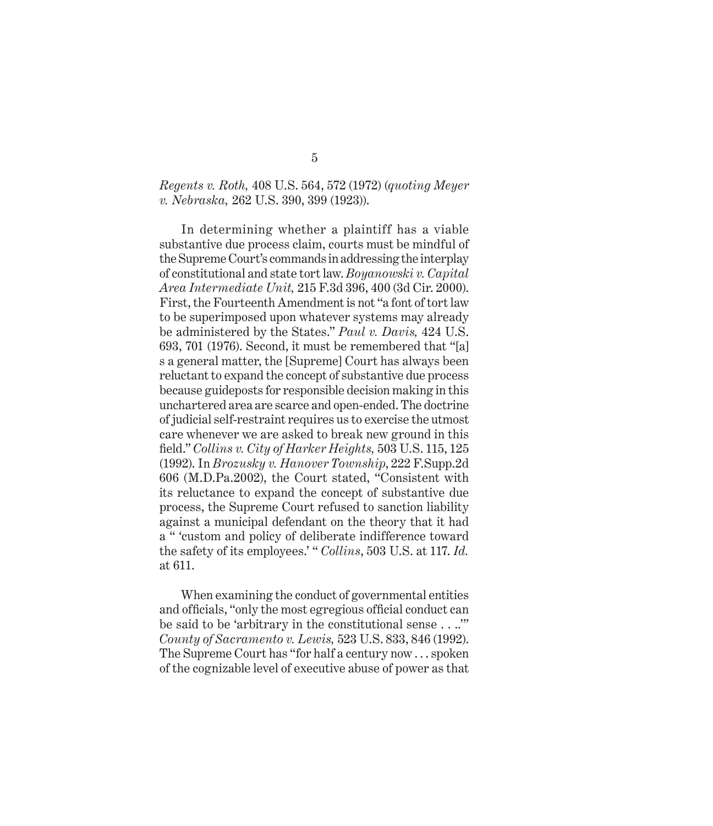### *Regents v. Roth,* 408 U.S. 564, 572 (1972) (*quoting Meyer v. Nebraska,* 262 U.S. 390, 399 (1923)).

In determining whether a plaintiff has a viable substantive due process claim, courts must be mindful of the Supreme Court's commands in addressing the interplay of constitutional and state tort law. *Boyanowski v. Capital Area Intermediate Unit,* 215 F.3d 396, 400 (3d Cir. 2000). First, the Fourteenth Amendment is not "a font of tort law to be superimposed upon whatever systems may already be administered by the States." *Paul v. Davis,* 424 U.S. 693, 701 (1976). Second, it must be remembered that "[a] s a general matter, the [Supreme] Court has always been reluctant to expand the concept of substantive due process because guideposts for responsible decision making in this unchartered area are scarce and open-ended. The doctrine of judicial self-restraint requires us to exercise the utmost care whenever we are asked to break new ground in this field." *Collins v. City of Harker Heights,* 503 U.S. 115, 125 (1992). In *Brozusky v. Hanover Township*, 222 F.Supp.2d 606 (M.D.Pa.2002), the Court stated, "Consistent with its reluctance to expand the concept of substantive due process, the Supreme Court refused to sanction liability against a municipal defendant on the theory that it had a " 'custom and policy of deliberate indifference toward the safety of its employees.' " *Collins*, 503 U.S. at 117. *Id.*  at 611.

When examining the conduct of governmental entities and officials, "only the most egregious official conduct can be said to be 'arbitrary in the constitutional sense . . ..'" *County of Sacramento v. Lewis,* 523 U.S. 833, 846 (1992). The Supreme Court has "for half a century now . . . spoken of the cognizable level of executive abuse of power as that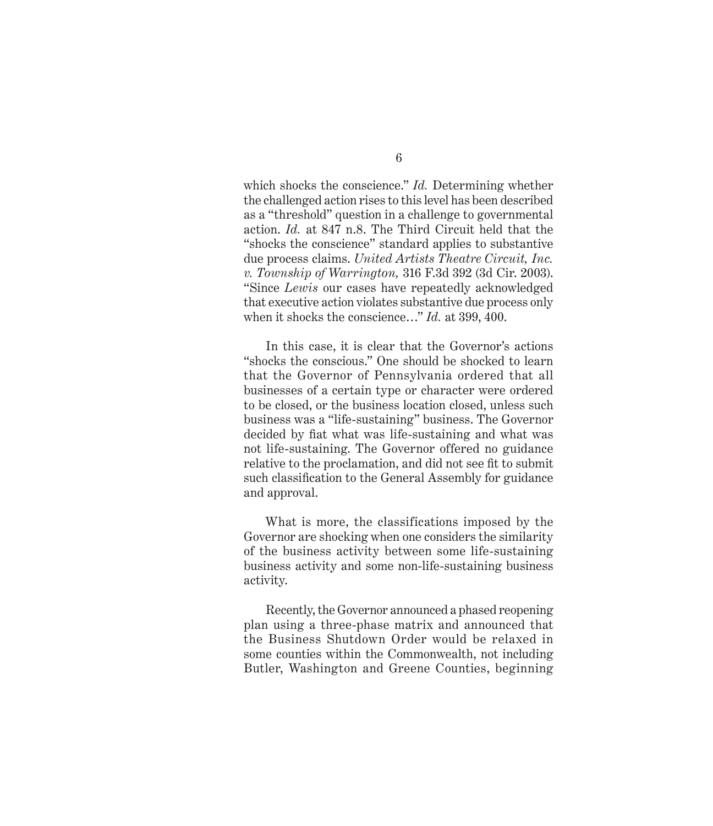which shocks the conscience." *Id.* Determining whether the challenged action rises to this level has been described as a "threshold" question in a challenge to governmental action. *Id.* at 847 n.8. The Third Circuit held that the "shocks the conscience" standard applies to substantive due process claims. *United Artists Theatre Circuit, Inc. v. Township of Warrington,* 316 F.3d 392 (3d Cir. 2003). "Since *Lewis* our cases have repeatedly acknowledged that executive action violates substantive due process only when it shocks the conscience…" *Id.* at 399, 400.

In this case, it is clear that the Governor's actions "shocks the conscious." One should be shocked to learn that the Governor of Pennsylvania ordered that all businesses of a certain type or character were ordered to be closed, or the business location closed, unless such business was a "life-sustaining" business. The Governor decided by fiat what was life-sustaining and what was not life-sustaining. The Governor offered no guidance relative to the proclamation, and did not see fit to submit such classification to the General Assembly for guidance and approval.

What is more, the classifications imposed by the Governor are shocking when one considers the similarity of the business activity between some life-sustaining business activity and some non-life-sustaining business activity.

Recently, the Governor announced a phased reopening plan using a three-phase matrix and announced that the Business Shutdown Order would be relaxed in some counties within the Commonwealth, not including Butler, Washington and Greene Counties, beginning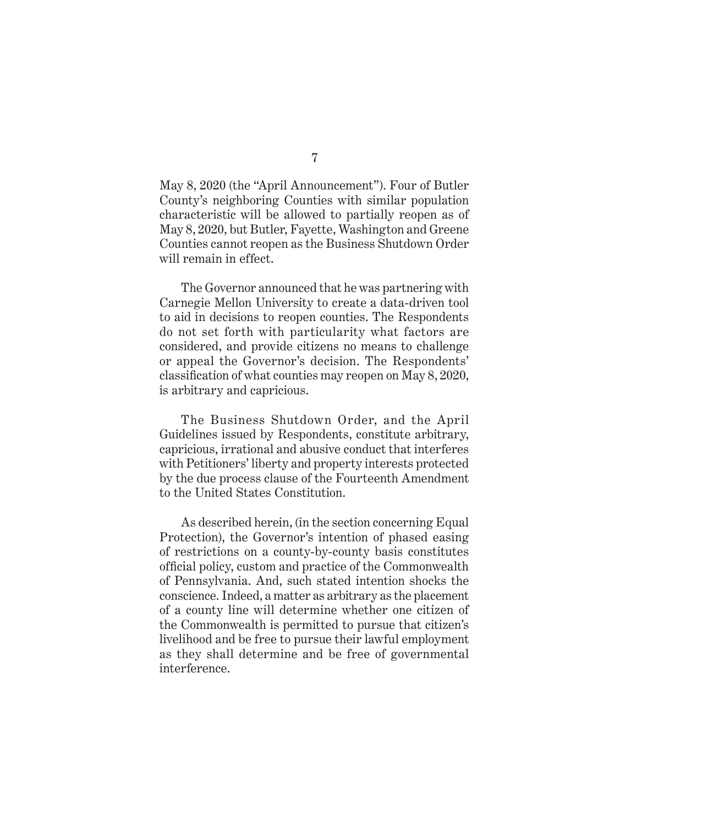May 8, 2020 (the "April Announcement"). Four of Butler County's neighboring Counties with similar population characteristic will be allowed to partially reopen as of May 8, 2020, but Butler, Fayette, Washington and Greene Counties cannot reopen as the Business Shutdown Order will remain in effect.

The Governor announced that he was partnering with Carnegie Mellon University to create a data-driven tool to aid in decisions to reopen counties. The Respondents do not set forth with particularity what factors are considered, and provide citizens no means to challenge or appeal the Governor's decision. The Respondents' classification of what counties may reopen on May 8, 2020, is arbitrary and capricious.

The Business Shutdown Order, and the April Guidelines issued by Respondents, constitute arbitrary, capricious, irrational and abusive conduct that interferes with Petitioners' liberty and property interests protected by the due process clause of the Fourteenth Amendment to the United States Constitution.

As described herein, (in the section concerning Equal Protection), the Governor's intention of phased easing of restrictions on a county-by-county basis constitutes official policy, custom and practice of the Commonwealth of Pennsylvania. And, such stated intention shocks the conscience. Indeed, a matter as arbitrary as the placement of a county line will determine whether one citizen of the Commonwealth is permitted to pursue that citizen's livelihood and be free to pursue their lawful employment as they shall determine and be free of governmental interference.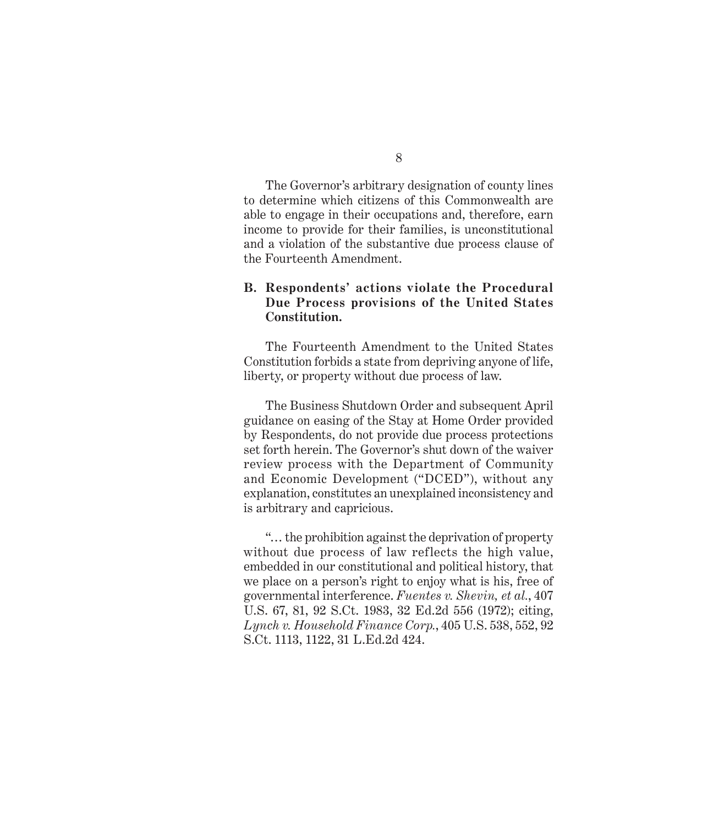The Governor's arbitrary designation of county lines to determine which citizens of this Commonwealth are able to engage in their occupations and, therefore, earn income to provide for their families, is unconstitutional and a violation of the substantive due process clause of the Fourteenth Amendment.

### **B. Respondents' actions violate the Procedural Due Process provisions of the United States Constitution.**

The Fourteenth Amendment to the United States Constitution forbids a state from depriving anyone of life, liberty, or property without due process of law.

The Business Shutdown Order and subsequent April guidance on easing of the Stay at Home Order provided by Respondents, do not provide due process protections set forth herein. The Governor's shut down of the waiver review process with the Department of Community and Economic Development ("DCED"), without any explanation, constitutes an unexplained inconsistency and is arbitrary and capricious.

"… the prohibition against the deprivation of property without due process of law reflects the high value, embedded in our constitutional and political history, that we place on a person's right to enjoy what is his, free of governmental interference. *Fuentes v. Shevin, et al.*, 407 U.S. 67, 81, 92 S.Ct. 1983, 32 Ed.2d 556 (1972); citing, *Lynch v. Household Finance Corp.*, 405 U.S. 538, 552, 92 S.Ct. 1113, 1122, 31 L.Ed.2d 424.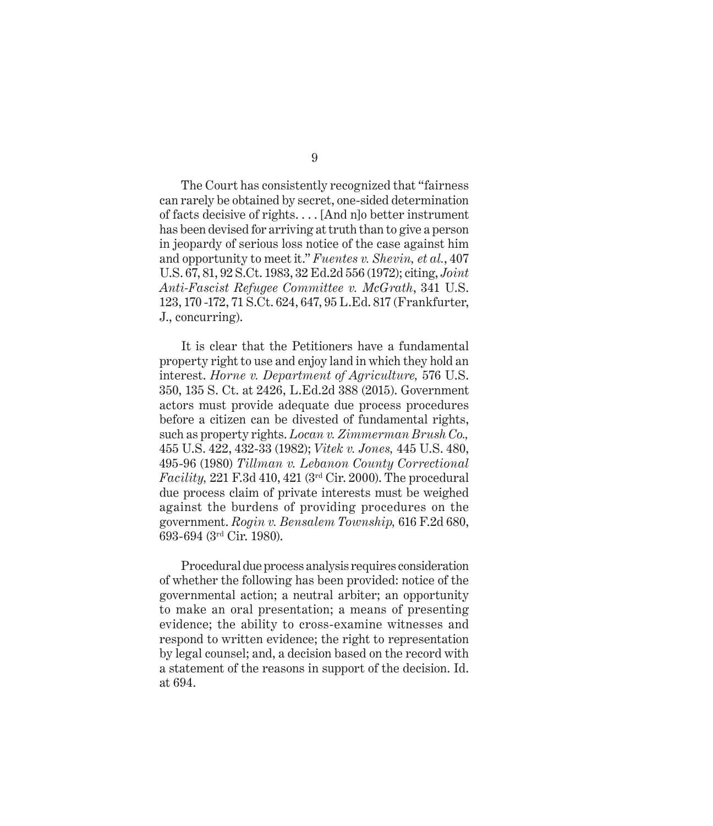The Court has consistently recognized that "fairness can rarely be obtained by secret, one-sided determination of facts decisive of rights. . . . [And n]o better instrument has been devised for arriving at truth than to give a person in jeopardy of serious loss notice of the case against him and opportunity to meet it." *Fuentes v. Shevin, et al.*, 407 U.S. 67, 81, 92 S.Ct. 1983, 32 Ed.2d 556 (1972); citing, *Joint Anti-Fascist Refugee Committee v. McGrath*, 341 U.S. 123, 170 -172, 71 S.Ct. 624, 647, 95 L.Ed. 817 (Frankfurter, J., concurring).

It is clear that the Petitioners have a fundamental property right to use and enjoy land in which they hold an interest. *Horne v. Department of Agriculture,* 576 U.S. 350, 135 S. Ct. at 2426, L.Ed.2d 388 (2015). Government actors must provide adequate due process procedures before a citizen can be divested of fundamental rights, such as property rights. *Locan v. Zimmerman Brush Co.,*  455 U.S. 422, 432-33 (1982); *Vitek v. Jones,* 445 U.S. 480, 495-96 (1980) *Tillman v. Lebanon County Correctional Facility,* 221 F.3d 410, 421 (3rd Cir. 2000). The procedural due process claim of private interests must be weighed against the burdens of providing procedures on the government. *Rogin v. Bensalem Township,* 616 F.2d 680, 693-694 (3rd Cir. 1980).

Procedural due process analysis requires consideration of whether the following has been provided: notice of the governmental action; a neutral arbiter; an opportunity to make an oral presentation; a means of presenting evidence; the ability to cross-examine witnesses and respond to written evidence; the right to representation by legal counsel; and, a decision based on the record with a statement of the reasons in support of the decision. Id. at 694.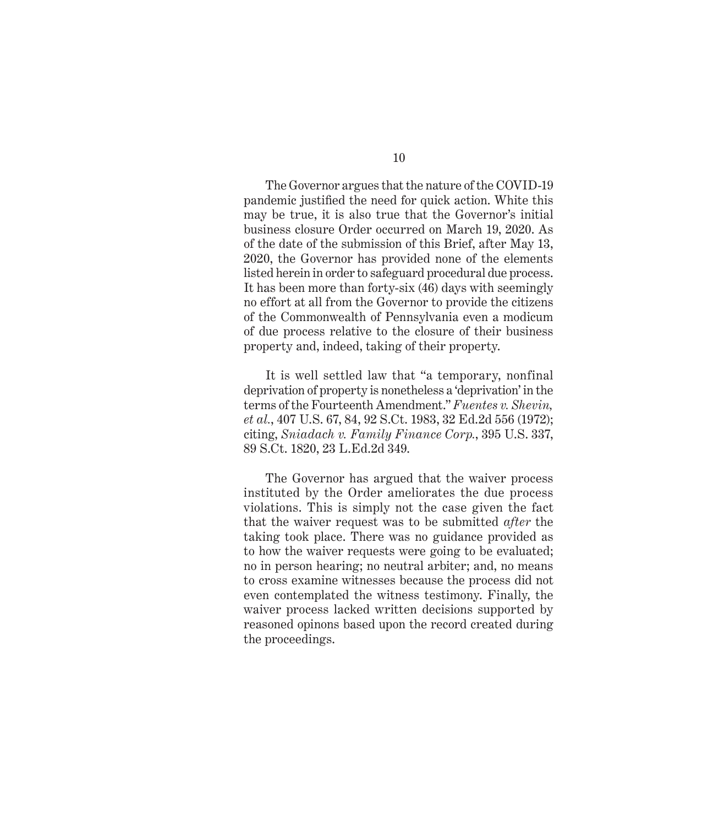The Governor argues that the nature of the COVID-19 pandemic justified the need for quick action. White this may be true, it is also true that the Governor's initial business closure Order occurred on March 19, 2020. As of the date of the submission of this Brief, after May 13, 2020, the Governor has provided none of the elements listed herein in order to safeguard procedural due process. It has been more than forty-six (46) days with seemingly no effort at all from the Governor to provide the citizens of the Commonwealth of Pennsylvania even a modicum of due process relative to the closure of their business property and, indeed, taking of their property.

It is well settled law that "a temporary, nonfinal deprivation of property is nonetheless a 'deprivation' in the terms of the Fourteenth Amendment." *Fuentes v. Shevin, et al.*, 407 U.S. 67, 84, 92 S.Ct. 1983, 32 Ed.2d 556 (1972); citing, *Sniadach v. Family Finance Corp.*, 395 U.S. 337, 89 S.Ct. 1820, 23 L.Ed.2d 349.

The Governor has argued that the waiver process instituted by the Order ameliorates the due process violations. This is simply not the case given the fact that the waiver request was to be submitted *after* the taking took place. There was no guidance provided as to how the waiver requests were going to be evaluated; no in person hearing; no neutral arbiter; and, no means to cross examine witnesses because the process did not even contemplated the witness testimony. Finally, the waiver process lacked written decisions supported by reasoned opinons based upon the record created during the proceedings.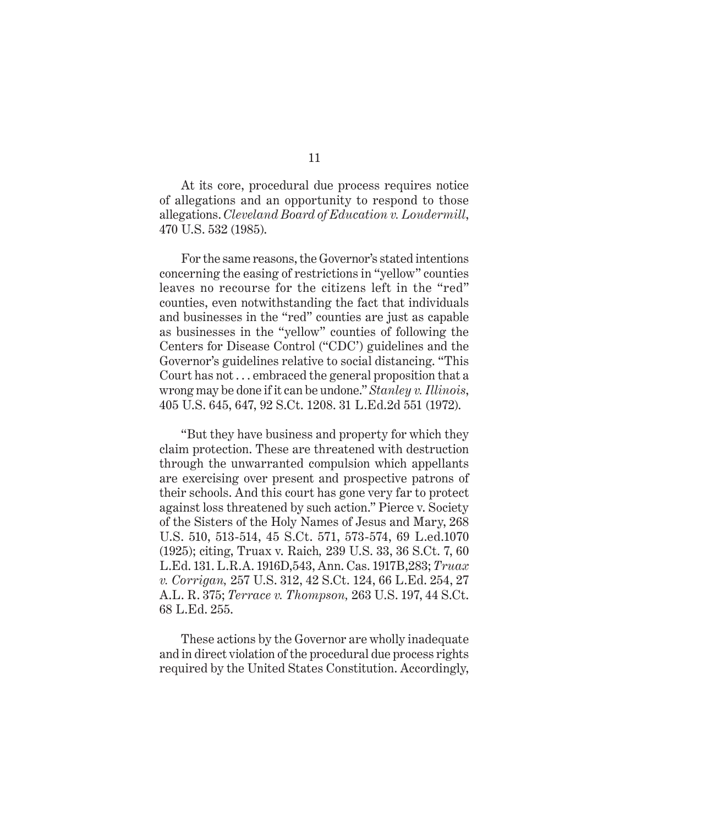At its core, procedural due process requires notice of allegations and an opportunity to respond to those allegations. *Cleveland Board of Education v. Loudermill*, 470 U.S. 532 (1985).

For the same reasons, the Governor's stated intentions concerning the easing of restrictions in "yellow" counties leaves no recourse for the citizens left in the "red" counties, even notwithstanding the fact that individuals and businesses in the "red" counties are just as capable as businesses in the "yellow" counties of following the Centers for Disease Control ("CDC') guidelines and the Governor's guidelines relative to social distancing. "This Court has not . . . embraced the general proposition that a wrong may be done if it can be undone." *Stanley v. Illinois*, 405 U.S. 645, 647, 92 S.Ct. 1208. 31 L.Ed.2d 551 (1972).

"But they have business and property for which they claim protection. These are threatened with destruction through the unwarranted compulsion which appellants are exercising over present and prospective patrons of their schools. And this court has gone very far to protect against loss threatened by such action." Pierce v. Society of the Sisters of the Holy Names of Jesus and Mary, 268 U.S. 510, 513-514, 45 S.Ct. 571, 573-574, 69 L.ed.1070 (1925); citing, Truax v. Raich*,* 239 U.S. 33, 36 S.Ct. 7, 60 L.Ed. 131. L.R.A. 1916D,543, Ann. Cas. 1917B,283; *Truax v. Corrigan,* 257 U.S. 312, 42 S.Ct. 124, 66 L.Ed. 254, 27 A.L. R. 375; *Terrace v. Thompson,* 263 U.S. 197, 44 S.Ct. 68 L.Ed. 255.

These actions by the Governor are wholly inadequate and in direct violation of the procedural due process rights required by the United States Constitution. Accordingly,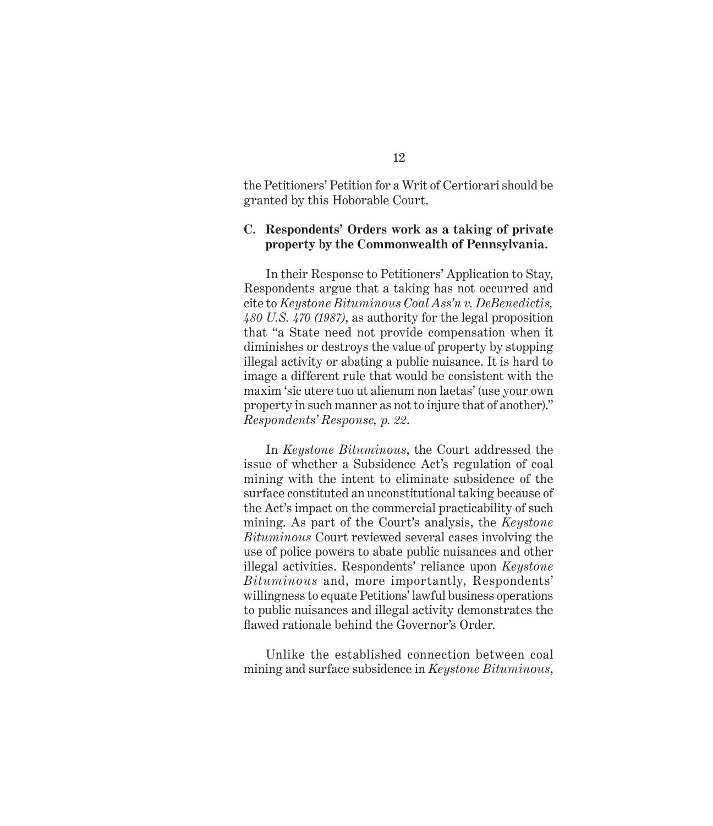the Petitioners' Petition for a Writ of Certiorari should be granted by this Hoborable Court.

### **C. Respondents' Orders work as a taking of private property by the Commonwealth of Pennsylvania.**

In their Response to Petitioners' Application to Stay, Respondents argue that a taking has not occurred and cite to *Keystone Bituminous Coal Ass'n v. DeBenedictis, 480 U.S. 470 (1987)*, as authority for the legal proposition that "a State need not provide compensation when it diminishes or destroys the value of property by stopping illegal activity or abating a public nuisance. It is hard to image a different rule that would be consistent with the maxim 'sic utere tuo ut alienum non laetas' (use your own property in such manner as not to injure that of another)." *Respondents' Response, p. 22*.

In *Keystone Bituminous*, the Court addressed the issue of whether a Subsidence Act's regulation of coal mining with the intent to eliminate subsidence of the surface constituted an unconstitutional taking because of the Act's impact on the commercial practicability of such mining. As part of the Court's analysis, the *Keystone Bituminous* Court reviewed several cases involving the use of police powers to abate public nuisances and other illegal activities. Respondents' reliance upon *Keystone Bituminous* and, more importantly, Respondents' willingness to equate Petitions' lawful business operations to public nuisances and illegal activity demonstrates the flawed rationale behind the Governor's Order.

Unlike the established connection between coal mining and surface subsidence in *Keystone Bituminous*,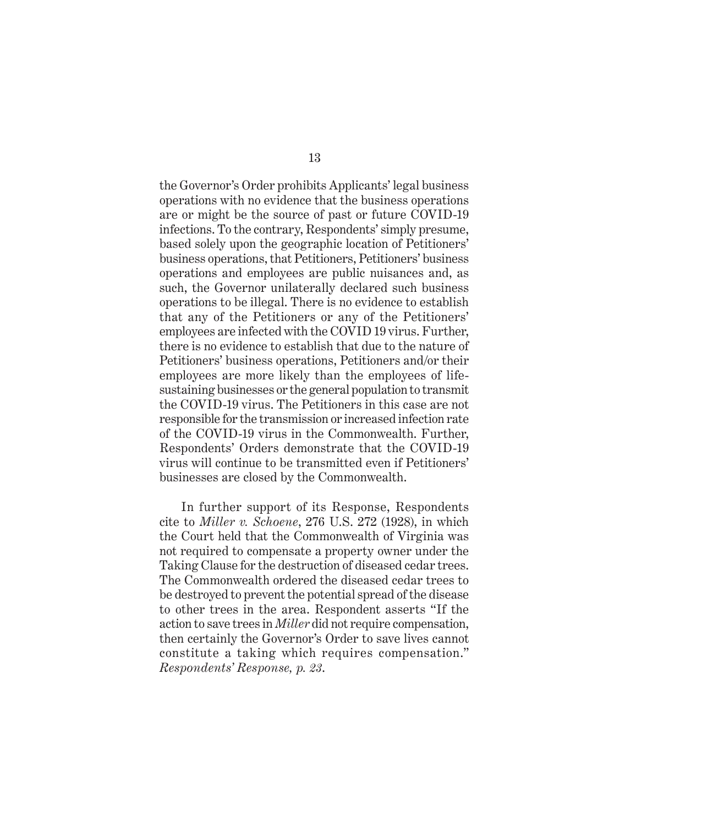the Governor's Order prohibits Applicants' legal business operations with no evidence that the business operations are or might be the source of past or future COVID-19 infections. To the contrary, Respondents' simply presume, based solely upon the geographic location of Petitioners' business operations, that Petitioners, Petitioners' business operations and employees are public nuisances and, as such, the Governor unilaterally declared such business operations to be illegal. There is no evidence to establish that any of the Petitioners or any of the Petitioners' employees are infected with the COVID 19 virus. Further, there is no evidence to establish that due to the nature of Petitioners' business operations, Petitioners and/or their employees are more likely than the employees of lifesustaining businesses or the general population to transmit the COVID-19 virus. The Petitioners in this case are not responsible for the transmission or increased infection rate of the COVID-19 virus in the Commonwealth. Further, Respondents' Orders demonstrate that the COVID-19 virus will continue to be transmitted even if Petitioners' businesses are closed by the Commonwealth.

In further support of its Response, Respondents cite to *Miller v. Schoene*, 276 U.S. 272 (1928), in which the Court held that the Commonwealth of Virginia was not required to compensate a property owner under the Taking Clause for the destruction of diseased cedar trees. The Commonwealth ordered the diseased cedar trees to be destroyed to prevent the potential spread of the disease to other trees in the area. Respondent asserts "If the action to save trees in *Miller* did not require compensation, then certainly the Governor's Order to save lives cannot constitute a taking which requires compensation." *Respondents' Response, p. 23*.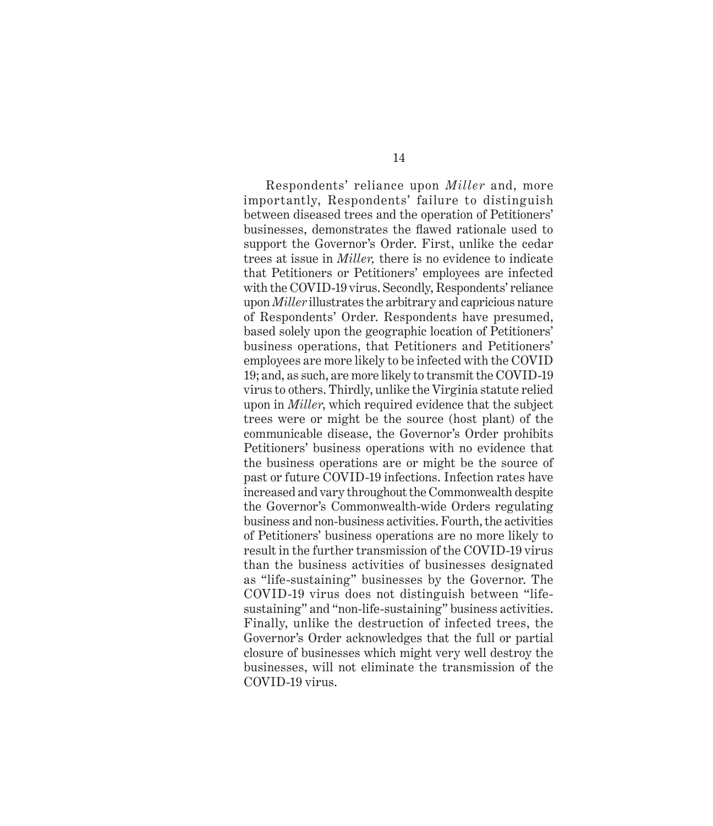Respondents' reliance upon *Miller* and, more importantly, Respondents' failure to distinguish between diseased trees and the operation of Petitioners' businesses, demonstrates the flawed rationale used to support the Governor's Order. First, unlike the cedar trees at issue in *Miller,* there is no evidence to indicate that Petitioners or Petitioners' employees are infected with the COVID-19 virus. Secondly, Respondents' reliance upon *Miller* illustrates the arbitrary and capricious nature of Respondents' Order. Respondents have presumed, based solely upon the geographic location of Petitioners' business operations, that Petitioners and Petitioners' employees are more likely to be infected with the COVID 19; and, as such, are more likely to transmit the COVID-19 virus to others. Thirdly, unlike the Virginia statute relied upon in *Miller*, which required evidence that the subject trees were or might be the source (host plant) of the communicable disease, the Governor's Order prohibits Petitioners' business operations with no evidence that the business operations are or might be the source of past or future COVID-19 infections. Infection rates have increased and vary throughout the Commonwealth despite the Governor's Commonwealth-wide Orders regulating business and non-business activities. Fourth, the activities of Petitioners' business operations are no more likely to result in the further transmission of the COVID-19 virus than the business activities of businesses designated as "life-sustaining" businesses by the Governor. The COVID-19 virus does not distinguish between "lifesustaining" and "non-life-sustaining" business activities. Finally, unlike the destruction of infected trees, the Governor's Order acknowledges that the full or partial closure of businesses which might very well destroy the businesses, will not eliminate the transmission of the COVID-19 virus.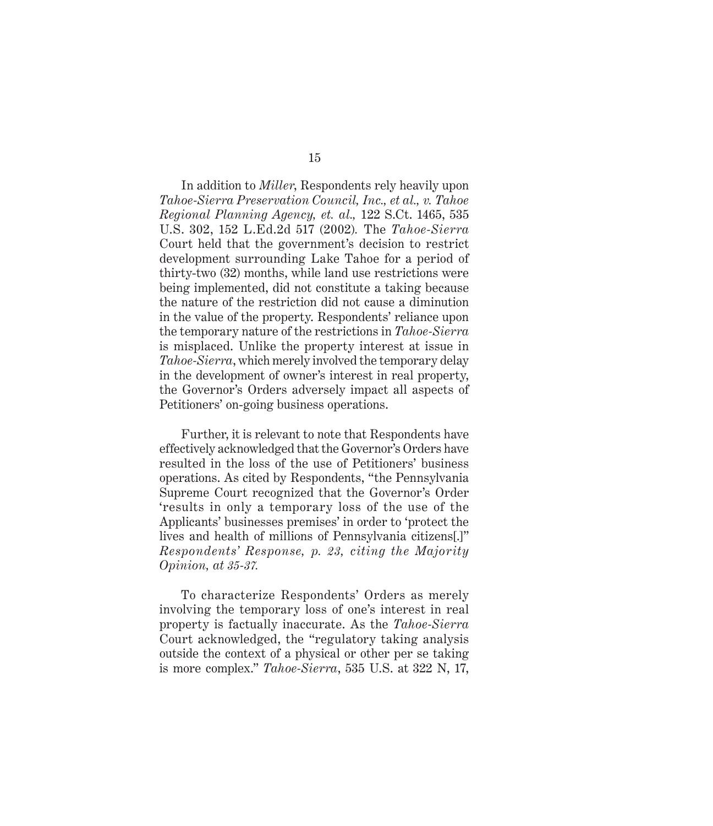In addition to *Miller*, Respondents rely heavily upon *Tahoe-Sierra Preservation Council, Inc., et al., v. Tahoe Regional Planning Agency, et. al.,* 122 S.Ct. 1465, 535 U.S. 302, 152 L.Ed.2d 517 (2002)*.* The *Tahoe-Sierra*  Court held that the government's decision to restrict development surrounding Lake Tahoe for a period of thirty-two (32) months, while land use restrictions were being implemented, did not constitute a taking because the nature of the restriction did not cause a diminution in the value of the property. Respondents' reliance upon the temporary nature of the restrictions in *Tahoe-Sierra*  is misplaced. Unlike the property interest at issue in *Tahoe-Sierra*, which merely involved the temporary delay in the development of owner's interest in real property, the Governor's Orders adversely impact all aspects of Petitioners' on-going business operations.

Further, it is relevant to note that Respondents have effectively acknowledged that the Governor's Orders have resulted in the loss of the use of Petitioners' business operations. As cited by Respondents, "the Pennsylvania Supreme Court recognized that the Governor's Order 'results in only a temporary loss of the use of the Applicants' businesses premises' in order to 'protect the lives and health of millions of Pennsylvania citizens[.]" *Respondents' Response, p. 23, citing the Majority Opinion, at 35-37.* 

To characterize Respondents' Orders as merely involving the temporary loss of one's interest in real property is factually inaccurate. As the *Tahoe-Sierra*  Court acknowledged, the "regulatory taking analysis outside the context of a physical or other per se taking is more complex." *Tahoe-Sierra*, 535 U.S. at 322 N, 17,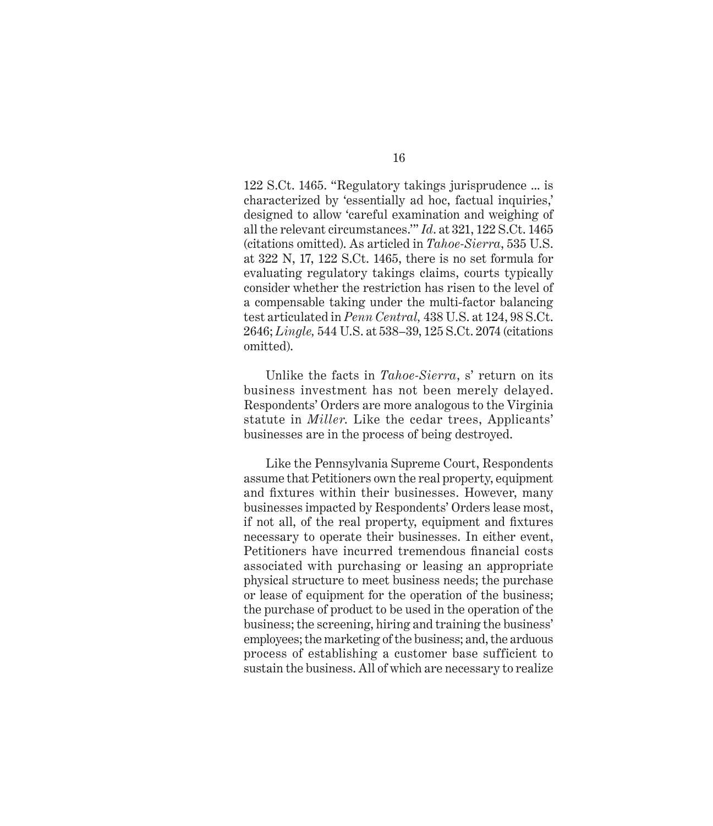122 S.Ct. 1465. "Regulatory takings jurisprudence ... is characterized by 'essentially ad hoc, factual inquiries,' designed to allow 'careful examination and weighing of all the relevant circumstances.'" *Id*. at 321, 122 S.Ct. 1465 (citations omitted). As articled in *Tahoe-Sierra*, 535 U.S. at 322 N, 17, 122 S.Ct. 1465, there is no set formula for evaluating regulatory takings claims, courts typically consider whether the restriction has risen to the level of a compensable taking under the multi-factor balancing test articulated in *Penn Central,* 438 U.S. at 124, 98 S.Ct. 2646; *Lingle,* 544 U.S. at 538–39, 125 S.Ct. 2074 (citations omitted).

Unlike the facts in *Tahoe-Sierra*, s' return on its business investment has not been merely delayed. Respondents' Orders are more analogous to the Virginia statute in *Miller*. Like the cedar trees, Applicants' businesses are in the process of being destroyed.

Like the Pennsylvania Supreme Court, Respondents assume that Petitioners own the real property, equipment and fixtures within their businesses. However, many businesses impacted by Respondents' Orders lease most, if not all, of the real property, equipment and fixtures necessary to operate their businesses. In either event, Petitioners have incurred tremendous financial costs associated with purchasing or leasing an appropriate physical structure to meet business needs; the purchase or lease of equipment for the operation of the business; the purchase of product to be used in the operation of the business; the screening, hiring and training the business' employees; the marketing of the business; and, the arduous process of establishing a customer base sufficient to sustain the business. All of which are necessary to realize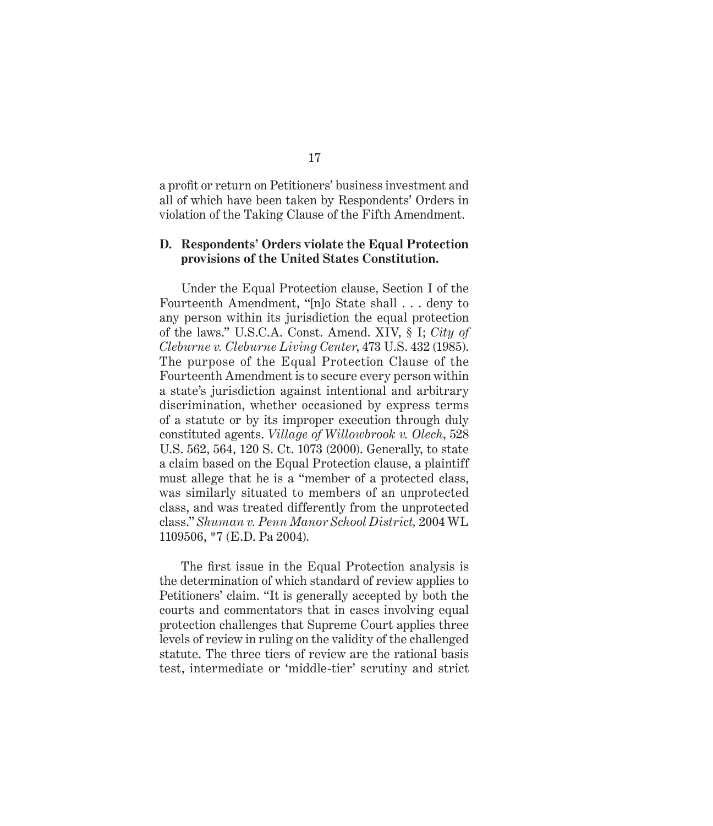a profit or return on Petitioners' business investment and all of which have been taken by Respondents' Orders in violation of the Taking Clause of the Fifth Amendment.

#### **D. Respondents' Orders violate the Equal Protection provisions of the United States Constitution.**

Under the Equal Protection clause, Section I of the Fourteenth Amendment, "[n]o State shall . . . deny to any person within its jurisdiction the equal protection of the laws." U.S.C.A. Const. Amend. XIV, § I; *City of Cleburne v. Cleburne Living Center*, 473 U.S. 432 (1985). The purpose of the Equal Protection Clause of the Fourteenth Amendment is to secure every person within a state's jurisdiction against intentional and arbitrary discrimination, whether occasioned by express terms of a statute or by its improper execution through duly constituted agents. *Village of Willowbrook v. Olech*, 528 U.S. 562, 564, 120 S. Ct. 1073 (2000). Generally, to state a claim based on the Equal Protection clause, a plaintiff must allege that he is a "member of a protected class, was similarly situated to members of an unprotected class, and was treated differently from the unprotected class." *Shuman v. Penn Manor School District,* 2004 WL 1109506, \*7 (E.D. Pa 2004).

The first issue in the Equal Protection analysis is the determination of which standard of review applies to Petitioners' claim. "It is generally accepted by both the courts and commentators that in cases involving equal protection challenges that Supreme Court applies three levels of review in ruling on the validity of the challenged statute. The three tiers of review are the rational basis test, intermediate or 'middle-tier' scrutiny and strict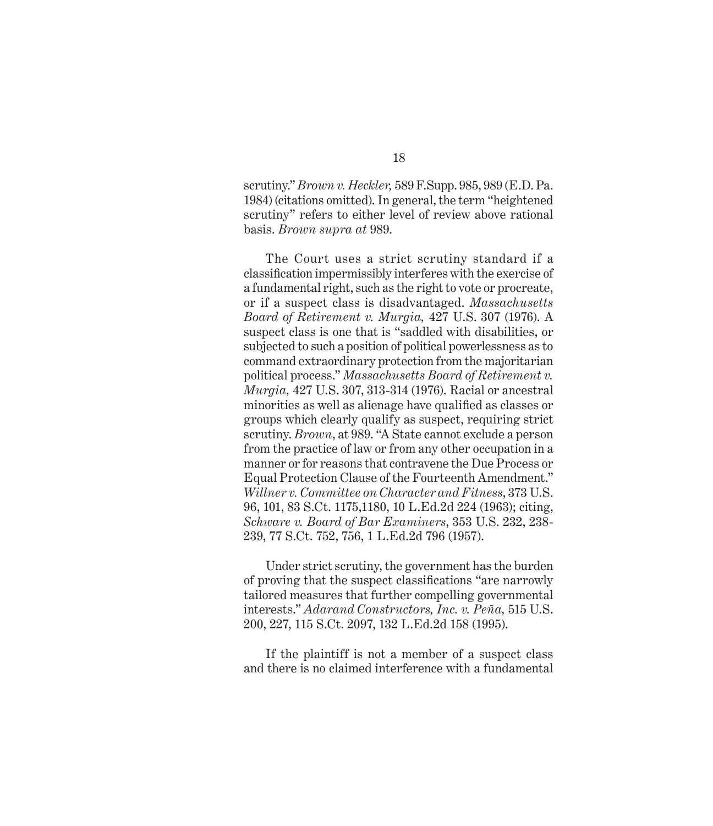scrutiny." *Brown v. Heckler,* 589 F.Supp. 985, 989 (E.D. Pa. 1984) (citations omitted). In general, the term "heightened scrutiny" refers to either level of review above rational basis. *Brown supra at* 989.

The Court uses a strict scrutiny standard if a classification impermissibly interferes with the exercise of a fundamental right, such as the right to vote or procreate, or if a suspect class is disadvantaged. *Massachusetts Board of Retirement v. Murgia,* 427 U.S. 307 (1976). A suspect class is one that is "saddled with disabilities, or subjected to such a position of political powerlessness as to command extraordinary protection from the majoritarian political process." *Massachusetts Board of Retirement v. Murgia,* 427 U.S. 307, 313-314 (1976). Racial or ancestral minorities as well as alienage have qualified as classes or groups which clearly qualify as suspect, requiring strict scrutiny. *Brown*, at 989. "A State cannot exclude a person from the practice of law or from any other occupation in a manner or for reasons that contravene the Due Process or Equal Protection Clause of the Fourteenth Amendment." *Willner v. Committee on Character and Fitness*, 373 U.S. 96, 101, 83 S.Ct. 1175,1180, 10 L.Ed.2d 224 (1963); citing, *Schware v. Board of Bar Examiners*, 353 U.S. 232, 238- 239, 77 S.Ct. 752, 756, 1 L.Ed.2d 796 (1957).

Under strict scrutiny, the government has the burden of proving that the suspect classifications "are narrowly tailored measures that further compelling governmental interests." *Adarand Constructors, Inc. v. Peña,* 515 U.S. 200, 227, 115 S.Ct. 2097, 132 L.Ed.2d 158 (1995).

If the plaintiff is not a member of a suspect class and there is no claimed interference with a fundamental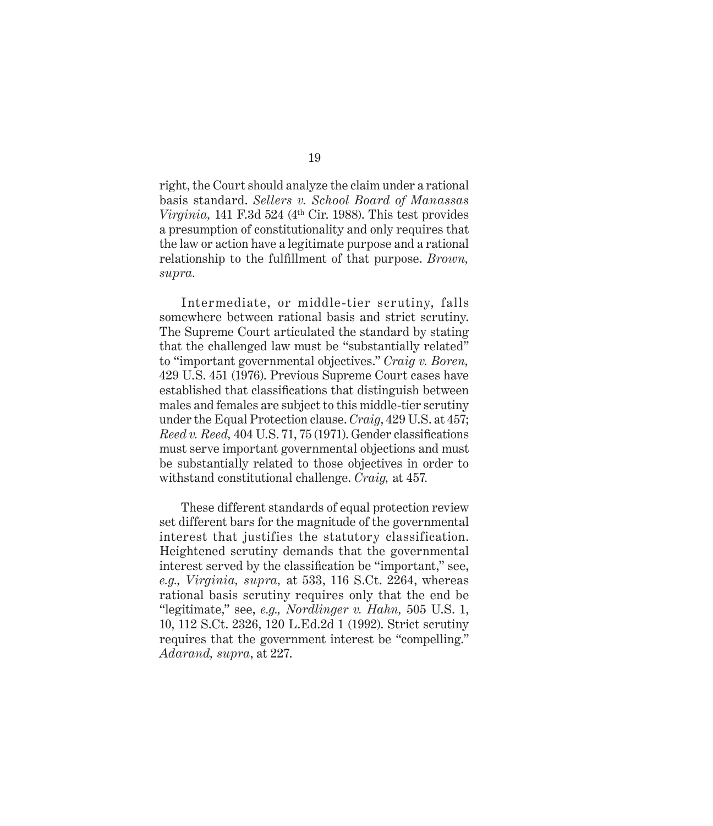right, the Court should analyze the claim under a rational basis standard. *Sellers v. School Board of Manassas Virginia*, 141 F.3d 524 ( $4<sup>th</sup>$  Cir. 1988). This test provides a presumption of constitutionality and only requires that the law or action have a legitimate purpose and a rational relationship to the fulfillment of that purpose. *Brown, supra.*

Intermediate, or middle-tier scrutiny, falls somewhere between rational basis and strict scrutiny. The Supreme Court articulated the standard by stating that the challenged law must be "substantially related" to "important governmental objectives." *Craig v. Boren,*  429 U.S. 451 (1976). Previous Supreme Court cases have established that classifications that distinguish between males and females are subject to this middle-tier scrutiny under the Equal Protection clause. *Craig*, 429 U.S. at 457; *Reed v. Reed,* 404 U.S. 71, 75 (1971). Gender classifications must serve important governmental objections and must be substantially related to those objectives in order to withstand constitutional challenge. *Craig,* at 457*.*

These different standards of equal protection review set different bars for the magnitude of the governmental interest that justifies the statutory classification. Heightened scrutiny demands that the governmental interest served by the classification be "important," see, *e.g., Virginia, supra,* at 533, 116 S.Ct. 2264, whereas rational basis scrutiny requires only that the end be "legitimate," see, *e.g., Nordlinger v. Hahn,* 505 U.S. 1, 10, 112 S.Ct. 2326, 120 L.Ed.2d 1 (1992). Strict scrutiny requires that the government interest be "compelling." *Adarand, supra*, at 227.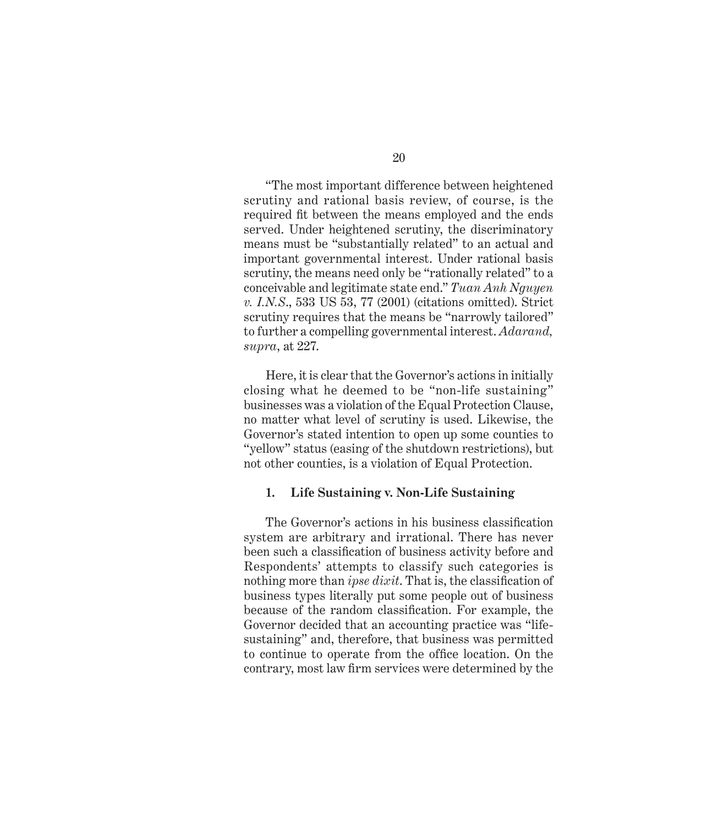"The most important difference between heightened scrutiny and rational basis review, of course, is the required fit between the means employed and the ends served. Under heightened scrutiny, the discriminatory means must be "substantially related" to an actual and important governmental interest. Under rational basis scrutiny, the means need only be "rationally related" to a conceivable and legitimate state end." *Tuan Anh Nguyen v. I.N.S*., 533 US 53, 77 (2001) (citations omitted). Strict scrutiny requires that the means be "narrowly tailored" to further a compelling governmental interest. *Adarand, supra*, at 227.

Here, it is clear that the Governor's actions in initially closing what he deemed to be "non-life sustaining" businesses was a violation of the Equal Protection Clause, no matter what level of scrutiny is used. Likewise, the Governor's stated intention to open up some counties to "yellow" status (easing of the shutdown restrictions), but not other counties, is a violation of Equal Protection.

#### **1. Life Sustaining v. Non-Life Sustaining**

The Governor's actions in his business classification system are arbitrary and irrational. There has never been such a classification of business activity before and Respondents' attempts to classify such categories is nothing more than *ipse dixit*. That is, the classification of business types literally put some people out of business because of the random classification. For example, the Governor decided that an accounting practice was "lifesustaining" and, therefore, that business was permitted to continue to operate from the office location. On the contrary, most law firm services were determined by the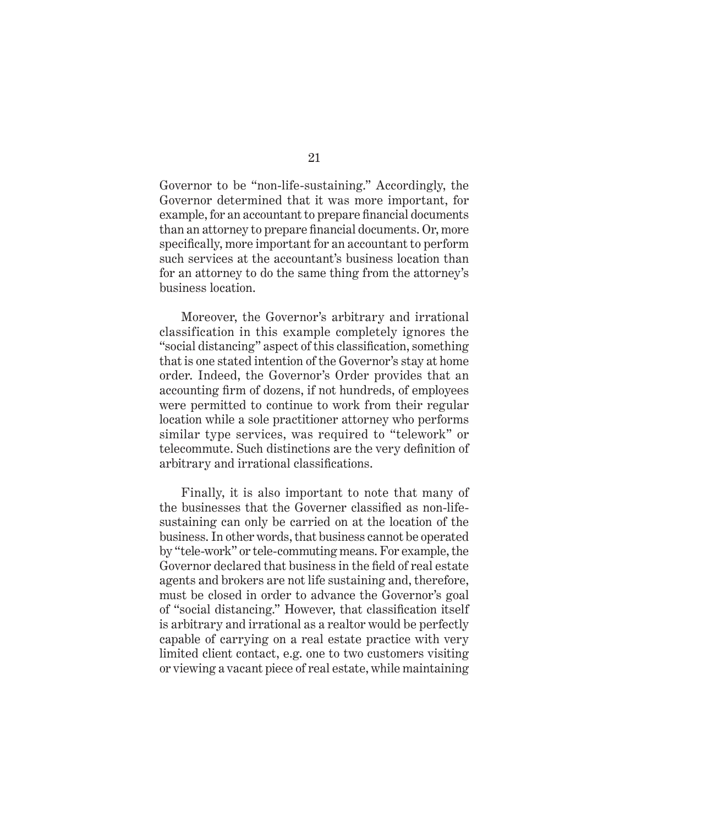Governor to be "non-life-sustaining." Accordingly, the Governor determined that it was more important, for example, for an accountant to prepare financial documents than an attorney to prepare financial documents. Or, more specifically, more important for an accountant to perform such services at the accountant's business location than for an attorney to do the same thing from the attorney's business location.

Moreover, the Governor's arbitrary and irrational classification in this example completely ignores the "social distancing" aspect of this classification, something that is one stated intention of the Governor's stay at home order. Indeed, the Governor's Order provides that an accounting firm of dozens, if not hundreds, of employees were permitted to continue to work from their regular location while a sole practitioner attorney who performs similar type services, was required to "telework" or telecommute. Such distinctions are the very definition of arbitrary and irrational classifications.

Finally, it is also important to note that many of the businesses that the Governer classified as non-lifesustaining can only be carried on at the location of the business. In other words, that business cannot be operated by "tele-work" or tele-commuting means. For example, the Governor declared that business in the field of real estate agents and brokers are not life sustaining and, therefore, must be closed in order to advance the Governor's goal of "social distancing." However, that classification itself is arbitrary and irrational as a realtor would be perfectly capable of carrying on a real estate practice with very limited client contact, e.g. one to two customers visiting or viewing a vacant piece of real estate, while maintaining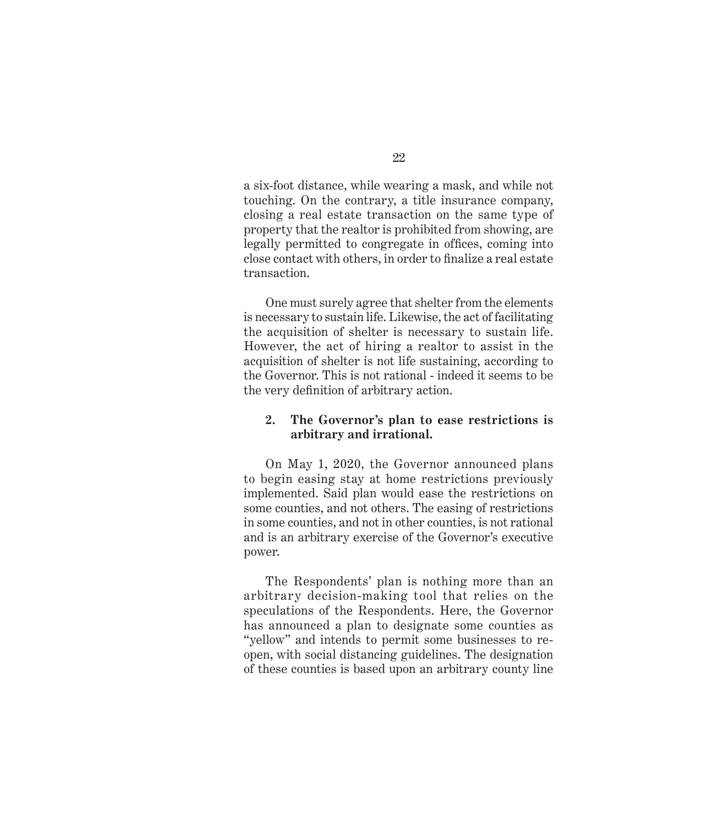a six-foot distance, while wearing a mask, and while not touching. On the contrary, a title insurance company, closing a real estate transaction on the same type of property that the realtor is prohibited from showing, are legally permitted to congregate in offices, coming into close contact with others, in order to finalize a real estate transaction.

One must surely agree that shelter from the elements is necessary to sustain life. Likewise, the act of facilitating the acquisition of shelter is necessary to sustain life. However, the act of hiring a realtor to assist in the acquisition of shelter is not life sustaining, according to the Governor. This is not rational - indeed it seems to be the very definition of arbitrary action.

### **2. The Governor's plan to ease restrictions is arbitrary and irrational.**

On May 1, 2020, the Governor announced plans to begin easing stay at home restrictions previously implemented. Said plan would ease the restrictions on some counties, and not others. The easing of restrictions in some counties, and not in other counties, is not rational and is an arbitrary exercise of the Governor's executive power.

The Respondents' plan is nothing more than an arbitrary decision-making tool that relies on the speculations of the Respondents. Here, the Governor has announced a plan to designate some counties as "yellow" and intends to permit some businesses to reopen, with social distancing guidelines. The designation of these counties is based upon an arbitrary county line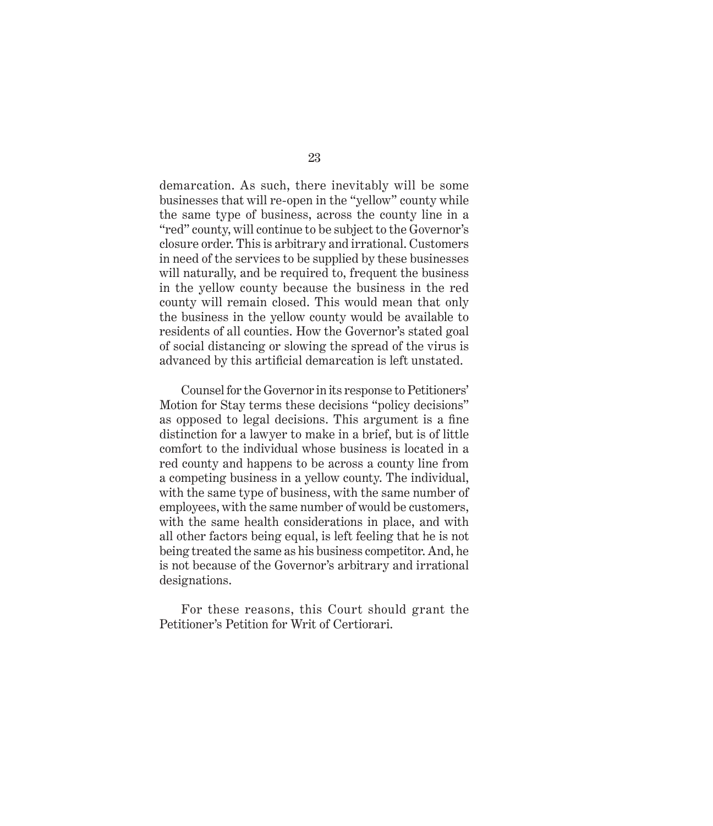demarcation. As such, there inevitably will be some businesses that will re-open in the "yellow" county while the same type of business, across the county line in a "red" county, will continue to be subject to the Governor's closure order. This is arbitrary and irrational. Customers in need of the services to be supplied by these businesses will naturally, and be required to, frequent the business in the yellow county because the business in the red county will remain closed. This would mean that only the business in the yellow county would be available to residents of all counties. How the Governor's stated goal of social distancing or slowing the spread of the virus is advanced by this artificial demarcation is left unstated.

Counsel for the Governor in its response to Petitioners' Motion for Stay terms these decisions "policy decisions" as opposed to legal decisions. This argument is a fine distinction for a lawyer to make in a brief, but is of little comfort to the individual whose business is located in a red county and happens to be across a county line from a competing business in a yellow county. The individual, with the same type of business, with the same number of employees, with the same number of would be customers, with the same health considerations in place, and with all other factors being equal, is left feeling that he is not being treated the same as his business competitor. And, he is not because of the Governor's arbitrary and irrational designations.

For these reasons, this Court should grant the Petitioner's Petition for Writ of Certiorari.